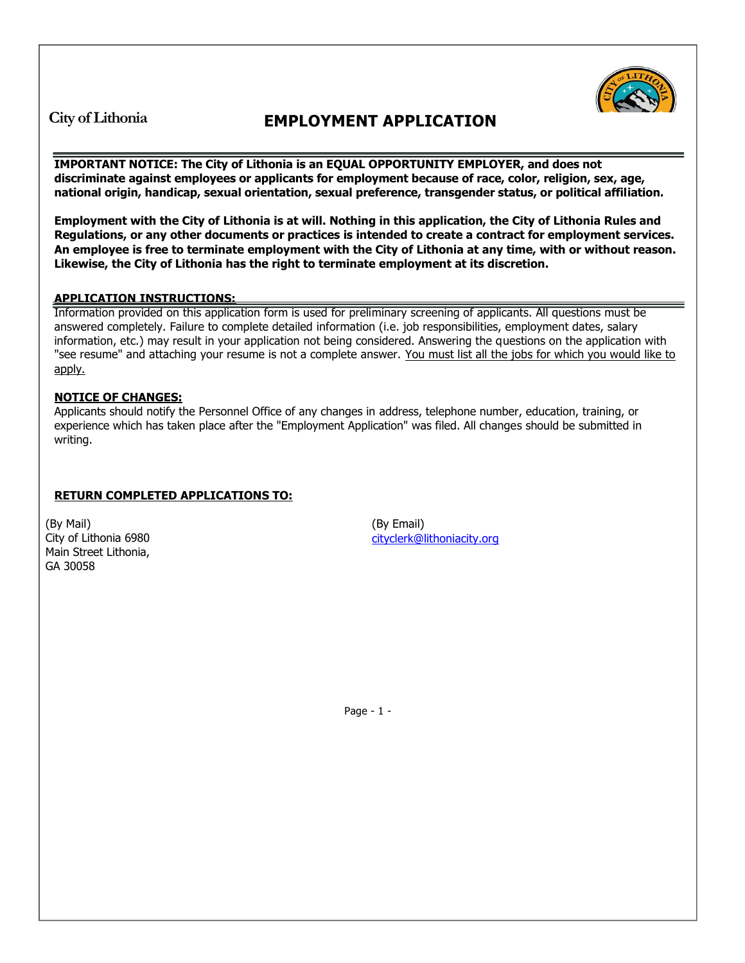**City of Lithonia EMPLOYMENT APPLICATION** 

**IMPORTANT NOTICE: The City of Lithonia is an EQUAL OPPORTUNITY EMPLOYER, and does not discriminate against employees or applicants for employment because of race, color, religion, sex, age, national origin, handicap, sexual orientation, sexual preference, transgender status, or political affiliation.**

**Employment with the City of Lithonia is at will. Nothing in this application, the City of Lithonia Rules and Regulations, or any other documents or practices is intended to create a contract for employment services. An employee is free to terminate employment with the City of Lithonia at any time, with or without reason. Likewise, the City of Lithonia has the right to terminate employment at its discretion.** 

## **APPLICATION INSTRUCTIONS:**

Information provided on this application form is used for preliminary screening of applicants. All questions must be answered completely. Failure to complete detailed information (i.e. job responsibilities, employment dates, salary information, etc.) may result in your application not being considered. Answering the questions on the application with "see resume" and attaching your resume is not a complete answer. You must list all the jobs for which you would like to apply.

## **NOTICE OF CHANGES:**

Applicants should notify the Personnel Office of any changes in address, telephone number, education, training, or experience which has taken place after the "Employment Application" was filed. All changes should be submitted in writing.

## **RETURN COMPLETED APPLICATIONS TO:**

(By Mail) City of Lithonia 6980 Main Street Lithonia, GA 30058

(By Email) [cityclerk@lithoniacity.org](mailto:cityclerk@lithoniacity.org)

Page - 1 -

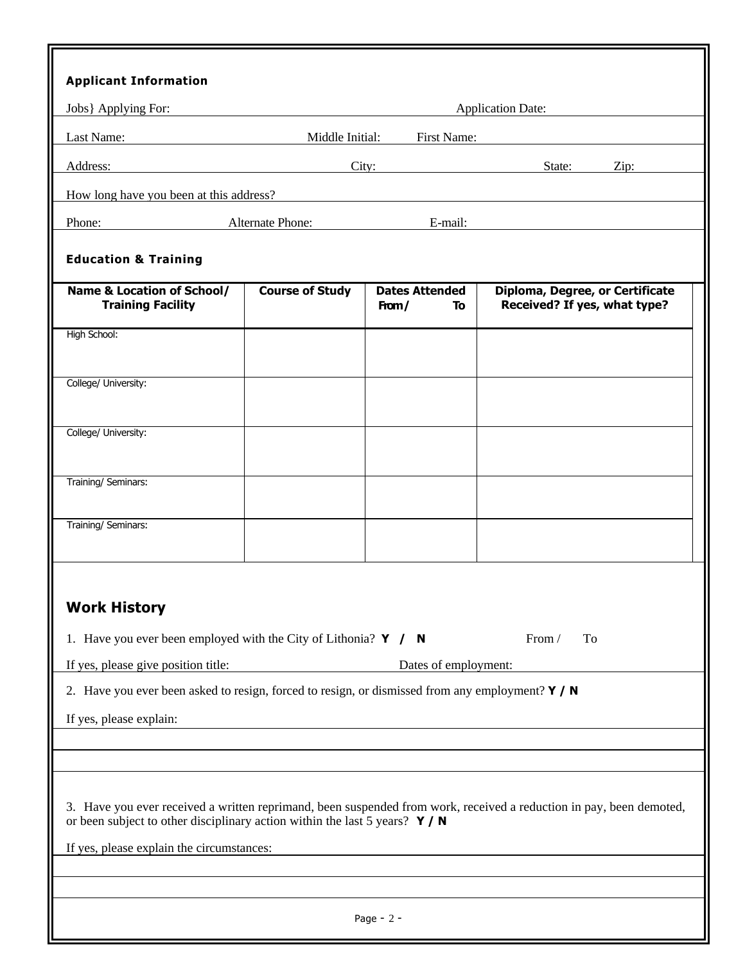| <b>Applicant Information</b>                                                                                                                                                                         |                                |                                      |                                                                 |  |  |  |  |  |
|------------------------------------------------------------------------------------------------------------------------------------------------------------------------------------------------------|--------------------------------|--------------------------------------|-----------------------------------------------------------------|--|--|--|--|--|
| Jobs} Applying For:                                                                                                                                                                                  |                                |                                      | <b>Application Date:</b>                                        |  |  |  |  |  |
| Last Name:                                                                                                                                                                                           | First Name:<br>Middle Initial: |                                      |                                                                 |  |  |  |  |  |
| Address:                                                                                                                                                                                             |                                | City:                                | State:<br>Zip:                                                  |  |  |  |  |  |
| How long have you been at this address?                                                                                                                                                              |                                |                                      |                                                                 |  |  |  |  |  |
| Phone:                                                                                                                                                                                               | Alternate Phone:               | E-mail:                              |                                                                 |  |  |  |  |  |
| <b>Education &amp; Training</b>                                                                                                                                                                      |                                |                                      |                                                                 |  |  |  |  |  |
|                                                                                                                                                                                                      |                                |                                      |                                                                 |  |  |  |  |  |
| <b>Name &amp; Location of School/</b><br><b>Training Facility</b>                                                                                                                                    | <b>Course of Study</b>         | <b>Dates Attended</b><br>To<br>From/ | Diploma, Degree, or Certificate<br>Received? If yes, what type? |  |  |  |  |  |
| High School:                                                                                                                                                                                         |                                |                                      |                                                                 |  |  |  |  |  |
| College/ University:                                                                                                                                                                                 |                                |                                      |                                                                 |  |  |  |  |  |
|                                                                                                                                                                                                      |                                |                                      |                                                                 |  |  |  |  |  |
| College/ University:                                                                                                                                                                                 |                                |                                      |                                                                 |  |  |  |  |  |
| Training/ Seminars:                                                                                                                                                                                  |                                |                                      |                                                                 |  |  |  |  |  |
|                                                                                                                                                                                                      |                                |                                      |                                                                 |  |  |  |  |  |
| Training/ Seminars:                                                                                                                                                                                  |                                |                                      |                                                                 |  |  |  |  |  |
| <b>Work History</b>                                                                                                                                                                                  |                                |                                      |                                                                 |  |  |  |  |  |
| 1. Have you ever been employed with the City of Lithonia? $Y / N$                                                                                                                                    |                                |                                      | From /<br>To                                                    |  |  |  |  |  |
| If yes, please give position title:                                                                                                                                                                  |                                | Dates of employment:                 |                                                                 |  |  |  |  |  |
| 2. Have you ever been asked to resign, forced to resign, or dismissed from any employment? $Y / N$                                                                                                   |                                |                                      |                                                                 |  |  |  |  |  |
| If yes, please explain:                                                                                                                                                                              |                                |                                      |                                                                 |  |  |  |  |  |
|                                                                                                                                                                                                      |                                |                                      |                                                                 |  |  |  |  |  |
|                                                                                                                                                                                                      |                                |                                      |                                                                 |  |  |  |  |  |
| 3. Have you ever received a written reprimand, been suspended from work, received a reduction in pay, been demoted,<br>or been subject to other disciplinary action within the last 5 years? $Y / N$ |                                |                                      |                                                                 |  |  |  |  |  |
| If yes, please explain the circumstances:                                                                                                                                                            |                                |                                      |                                                                 |  |  |  |  |  |
|                                                                                                                                                                                                      |                                |                                      |                                                                 |  |  |  |  |  |
|                                                                                                                                                                                                      |                                |                                      |                                                                 |  |  |  |  |  |
| Page - $2$ -                                                                                                                                                                                         |                                |                                      |                                                                 |  |  |  |  |  |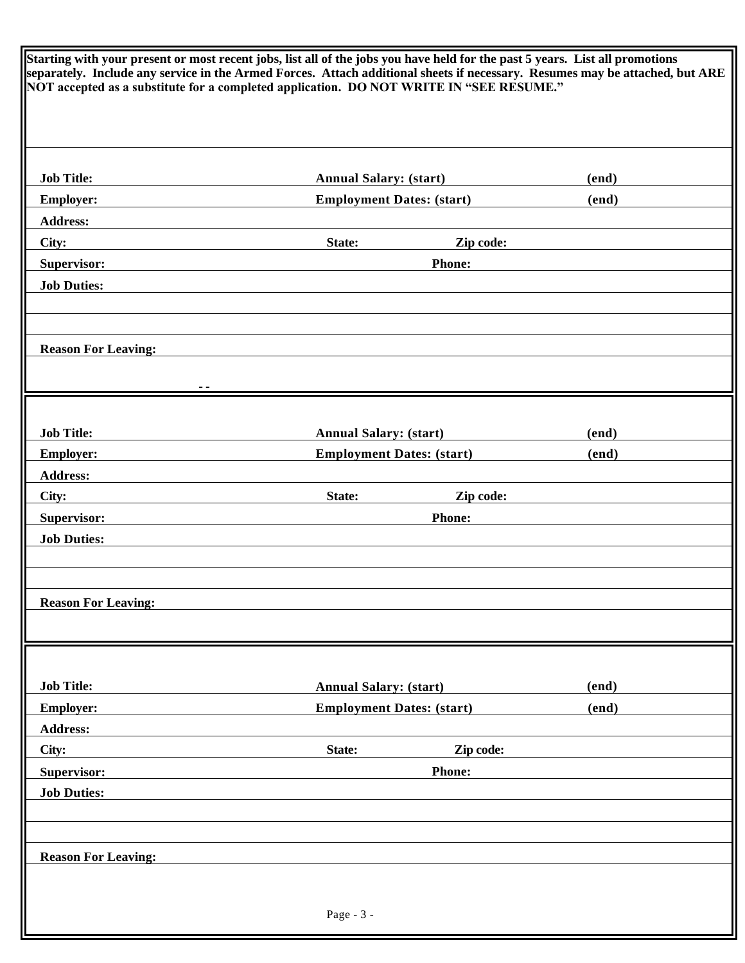| Starting with your present or most recent jobs, list all of the jobs you have held for the past 5 years. List all promotions<br>separately. Include any service in the Armed Forces. Attach additional sheets if necessary. Resumes may be attached, but ARE<br>NOT accepted as a substitute for a completed application. DO NOT WRITE IN "SEE RESUME." |                                  |       |  |  |  |  |  |
|---------------------------------------------------------------------------------------------------------------------------------------------------------------------------------------------------------------------------------------------------------------------------------------------------------------------------------------------------------|----------------------------------|-------|--|--|--|--|--|
| <b>Job Title:</b>                                                                                                                                                                                                                                                                                                                                       | <b>Annual Salary: (start)</b>    | (end) |  |  |  |  |  |
| <b>Employer:</b>                                                                                                                                                                                                                                                                                                                                        | <b>Employment Dates: (start)</b> | (end) |  |  |  |  |  |
| <b>Address:</b>                                                                                                                                                                                                                                                                                                                                         |                                  |       |  |  |  |  |  |
| City:                                                                                                                                                                                                                                                                                                                                                   | Zip code:<br>State:              |       |  |  |  |  |  |
| Supervisor:                                                                                                                                                                                                                                                                                                                                             | <b>Phone:</b>                    |       |  |  |  |  |  |
| <b>Job Duties:</b>                                                                                                                                                                                                                                                                                                                                      |                                  |       |  |  |  |  |  |
|                                                                                                                                                                                                                                                                                                                                                         |                                  |       |  |  |  |  |  |
|                                                                                                                                                                                                                                                                                                                                                         |                                  |       |  |  |  |  |  |
| <b>Reason For Leaving:</b>                                                                                                                                                                                                                                                                                                                              |                                  |       |  |  |  |  |  |
|                                                                                                                                                                                                                                                                                                                                                         |                                  |       |  |  |  |  |  |
|                                                                                                                                                                                                                                                                                                                                                         |                                  |       |  |  |  |  |  |
| <b>Job Title:</b>                                                                                                                                                                                                                                                                                                                                       | <b>Annual Salary: (start)</b>    | (end) |  |  |  |  |  |
| <b>Employer:</b>                                                                                                                                                                                                                                                                                                                                        | <b>Employment Dates: (start)</b> | (end) |  |  |  |  |  |
| <b>Address:</b>                                                                                                                                                                                                                                                                                                                                         |                                  |       |  |  |  |  |  |
| City:                                                                                                                                                                                                                                                                                                                                                   | State:<br>Zip code:              |       |  |  |  |  |  |
| Supervisor:                                                                                                                                                                                                                                                                                                                                             | <b>Phone:</b>                    |       |  |  |  |  |  |
| <b>Job Duties:</b>                                                                                                                                                                                                                                                                                                                                      |                                  |       |  |  |  |  |  |
|                                                                                                                                                                                                                                                                                                                                                         |                                  |       |  |  |  |  |  |
|                                                                                                                                                                                                                                                                                                                                                         |                                  |       |  |  |  |  |  |
| <b>Reason For Leaving:</b>                                                                                                                                                                                                                                                                                                                              |                                  |       |  |  |  |  |  |
|                                                                                                                                                                                                                                                                                                                                                         |                                  |       |  |  |  |  |  |
|                                                                                                                                                                                                                                                                                                                                                         |                                  |       |  |  |  |  |  |
| <b>Job Title:</b>                                                                                                                                                                                                                                                                                                                                       | <b>Annual Salary: (start)</b>    | (end) |  |  |  |  |  |
| <b>Employer:</b>                                                                                                                                                                                                                                                                                                                                        | <b>Employment Dates: (start)</b> | (end) |  |  |  |  |  |
| <b>Address:</b>                                                                                                                                                                                                                                                                                                                                         |                                  |       |  |  |  |  |  |
| City:                                                                                                                                                                                                                                                                                                                                                   | State:<br>Zip code:              |       |  |  |  |  |  |
| <b>Supervisor:</b>                                                                                                                                                                                                                                                                                                                                      | <b>Phone:</b>                    |       |  |  |  |  |  |
| <b>Job Duties:</b>                                                                                                                                                                                                                                                                                                                                      |                                  |       |  |  |  |  |  |
|                                                                                                                                                                                                                                                                                                                                                         |                                  |       |  |  |  |  |  |
|                                                                                                                                                                                                                                                                                                                                                         |                                  |       |  |  |  |  |  |
| <b>Reason For Leaving:</b>                                                                                                                                                                                                                                                                                                                              |                                  |       |  |  |  |  |  |
|                                                                                                                                                                                                                                                                                                                                                         |                                  |       |  |  |  |  |  |
|                                                                                                                                                                                                                                                                                                                                                         |                                  |       |  |  |  |  |  |
|                                                                                                                                                                                                                                                                                                                                                         | Page - 3 -                       |       |  |  |  |  |  |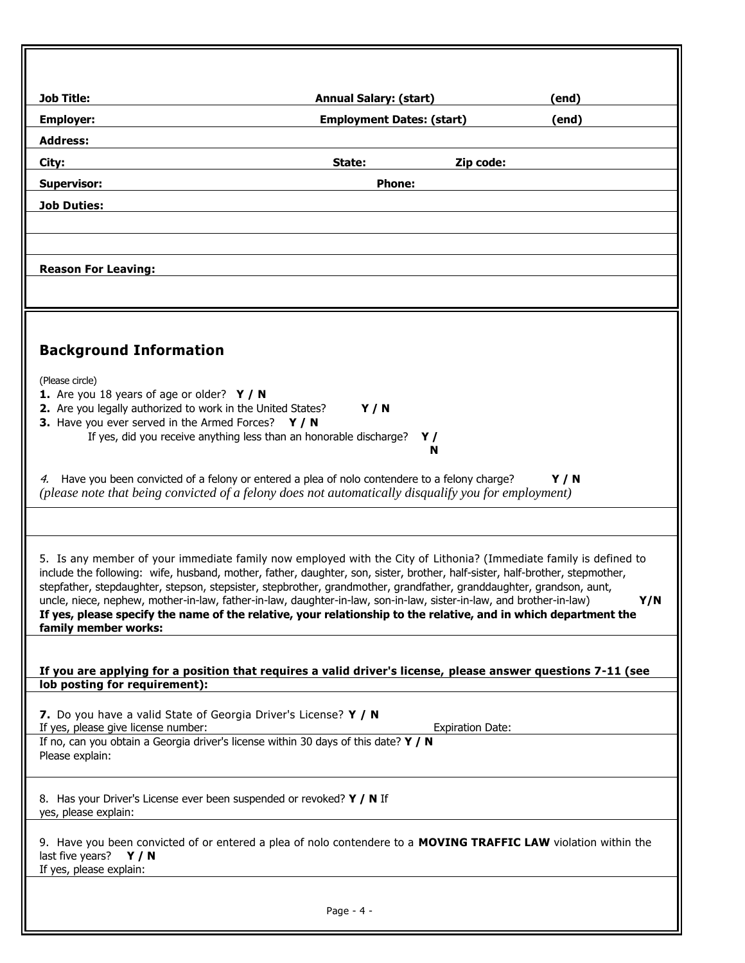| <b>Job Title:</b>                                                                                                            | <b>Annual Salary: (start)</b>                                                                                                                                                                                                                        |            |
|------------------------------------------------------------------------------------------------------------------------------|------------------------------------------------------------------------------------------------------------------------------------------------------------------------------------------------------------------------------------------------------|------------|
| <b>Employer:</b>                                                                                                             | <b>Employment Dates: (start)</b>                                                                                                                                                                                                                     | (end)      |
| <b>Address:</b>                                                                                                              |                                                                                                                                                                                                                                                      |            |
| City:                                                                                                                        | State:<br>Zip code:                                                                                                                                                                                                                                  |            |
| <b>Supervisor:</b>                                                                                                           | <b>Phone:</b>                                                                                                                                                                                                                                        |            |
| <b>Job Duties:</b>                                                                                                           |                                                                                                                                                                                                                                                      |            |
|                                                                                                                              |                                                                                                                                                                                                                                                      |            |
|                                                                                                                              |                                                                                                                                                                                                                                                      |            |
| <b>Reason For Leaving:</b>                                                                                                   |                                                                                                                                                                                                                                                      |            |
|                                                                                                                              |                                                                                                                                                                                                                                                      |            |
|                                                                                                                              |                                                                                                                                                                                                                                                      |            |
| <b>Background Information</b>                                                                                                |                                                                                                                                                                                                                                                      |            |
|                                                                                                                              |                                                                                                                                                                                                                                                      |            |
| (Please circle)                                                                                                              |                                                                                                                                                                                                                                                      |            |
| 1. Are you 18 years of age or older? $Y / N$<br>2. Are you legally authorized to work in the United States?                  | Y/N                                                                                                                                                                                                                                                  |            |
| 3. Have you ever served in the Armed Forces? Y / N                                                                           |                                                                                                                                                                                                                                                      |            |
|                                                                                                                              | If yes, did you receive anything less than an honorable discharge?<br>Y /<br>N                                                                                                                                                                       |            |
|                                                                                                                              |                                                                                                                                                                                                                                                      |            |
|                                                                                                                              | 4. Have you been convicted of a felony or entered a plea of nolo contendere to a felony charge?<br>(please note that being convicted of a felony does not automatically disqualify you for employment)                                               | <b>Y/N</b> |
|                                                                                                                              |                                                                                                                                                                                                                                                      |            |
|                                                                                                                              |                                                                                                                                                                                                                                                      |            |
|                                                                                                                              | 5. Is any member of your immediate family now employed with the City of Lithonia? (Immediate family is defined to                                                                                                                                    |            |
|                                                                                                                              | include the following: wife, husband, mother, father, daughter, son, sister, brother, half-sister, half-brother, stepmother,<br>stepfather, stepdaughter, stepson, stepsister, stepbrother, grandmother, grandfather, granddaughter, grandson, aunt, |            |
|                                                                                                                              | uncle, niece, nephew, mother-in-law, father-in-law, daughter-in-law, son-in-law, sister-in-law, and brother-in-law)                                                                                                                                  | Y/N        |
| family member works:                                                                                                         | If yes, please specify the name of the relative, your relationship to the relative, and in which department the                                                                                                                                      |            |
|                                                                                                                              |                                                                                                                                                                                                                                                      |            |
|                                                                                                                              | If you are applying for a position that requires a valid driver's license, please answer questions 7-11 (see                                                                                                                                         |            |
| lob posting for requirement):                                                                                                |                                                                                                                                                                                                                                                      |            |
| 7. Do you have a valid State of Georgia Driver's License? Y / N                                                              |                                                                                                                                                                                                                                                      |            |
| If yes, please give license number:<br>If no, can you obtain a Georgia driver's license within 30 days of this date? $Y / N$ | <b>Expiration Date:</b>                                                                                                                                                                                                                              |            |
| Please explain:                                                                                                              |                                                                                                                                                                                                                                                      |            |
|                                                                                                                              |                                                                                                                                                                                                                                                      |            |
| 8. Has your Driver's License ever been suspended or revoked? Y / N If<br>yes, please explain:                                |                                                                                                                                                                                                                                                      |            |
|                                                                                                                              | 9. Have you been convicted of or entered a plea of nolo contendere to a MOVING TRAFFIC LAW violation within the                                                                                                                                      |            |
| last five years? $Y / N$                                                                                                     |                                                                                                                                                                                                                                                      |            |
| If yes, please explain:                                                                                                      |                                                                                                                                                                                                                                                      |            |
|                                                                                                                              |                                                                                                                                                                                                                                                      |            |
|                                                                                                                              | Page - $4 -$                                                                                                                                                                                                                                         |            |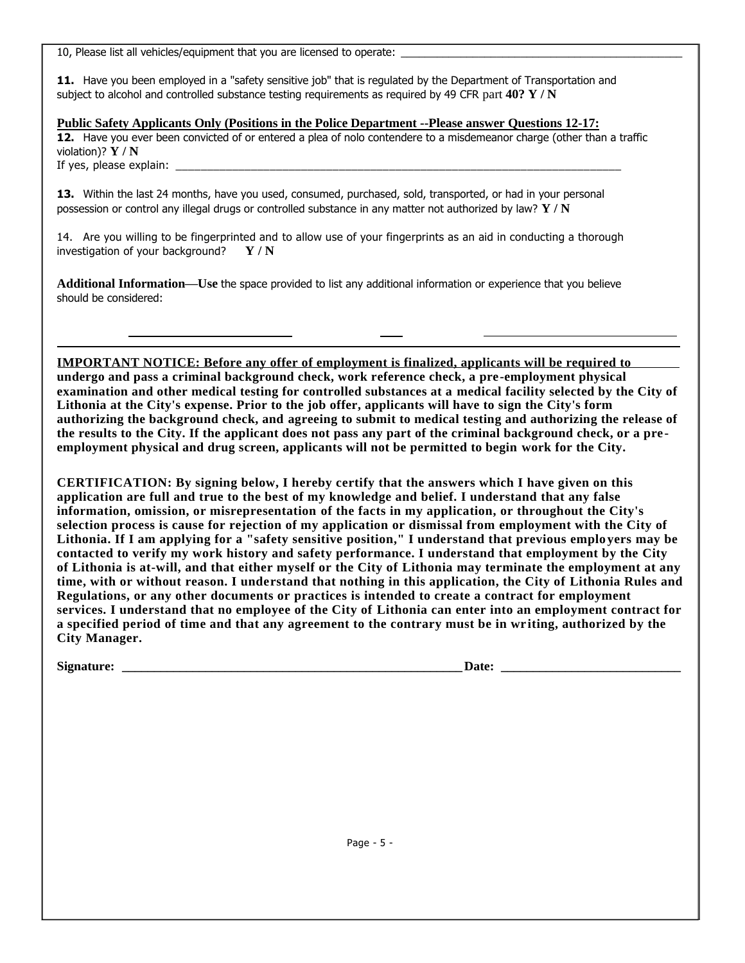10, Please list all vehicles/equipment that you are licensed to operate:

**11.** Have you been employed in a "safety sensitive job" that is regulated by the Department of Transportation and subject to alcohol and controlled substance testing requirements as required by 49 CFR part **40? Y / N**

**Public Safety Applicants Only (Positions in the Police Department --Please answer Questions 12-17: 12.** Have you ever been convicted of or entered a plea of nolo contendere to a misdemeanor charge (other than a traffic violation)? **Y / N** If yes, please explain:

**13.** Within the last 24 months, have you used, consumed, purchased, sold, transported, or had in your personal possession or control any illegal drugs or controlled substance in any matter not authorized by law? **Y / N**

14. Are you willing to be fingerprinted and to allow use of your fingerprints as an aid in conducting a thorough investigation of your background? **Y / N**

**Additional Information—Use** the space provided to list any additional information or experience that you believe should be considered:

**IMPORTANT NOTICE: Before any offer of employment is finalized, applicants will be required to undergo and pass a criminal background check, work reference check, a pre-employment physical examination and other medical testing for controlled substances at a medical facility selected by the City of Lithonia at the City's expense. Prior to the job offer, applicants will have to sign the City's form authorizing the background check, and agreeing to submit to medical testing and authorizing the release of the results to the City. If the applicant does not pass any part of the criminal background check, or a pre employment physical and drug screen, applicants will not be permitted to begin work for the City.**

**CERTIFICATION: By signing below, I hereby certify that the answers which I have given on this application are full and true to the best of my knowledge and belief. I understand that any false information, omission, or misrepresentation of the facts in my application, or throughout the City's selection process is cause for rejection of my application or dismissal from employment with the City of Lithonia. If I am applying for a "safety sensitive position," I understand that previous emplo yers may be contacted to verify my work history and safety performance. I understand that employment by the City of Lithonia is at-will, and that either myself or the City of Lithonia may terminate the employment at any time, with or without reason. I understand that nothing in this application, the City of Lithonia Rules and Regulations, or any other documents or practices is intended to create a contract for employment services. I understand that no employee of the City of Lithonia can enter into an employment contract for a specified period of time and that any agreement to the contrary must be in wr iting, authorized by the City Manager.**